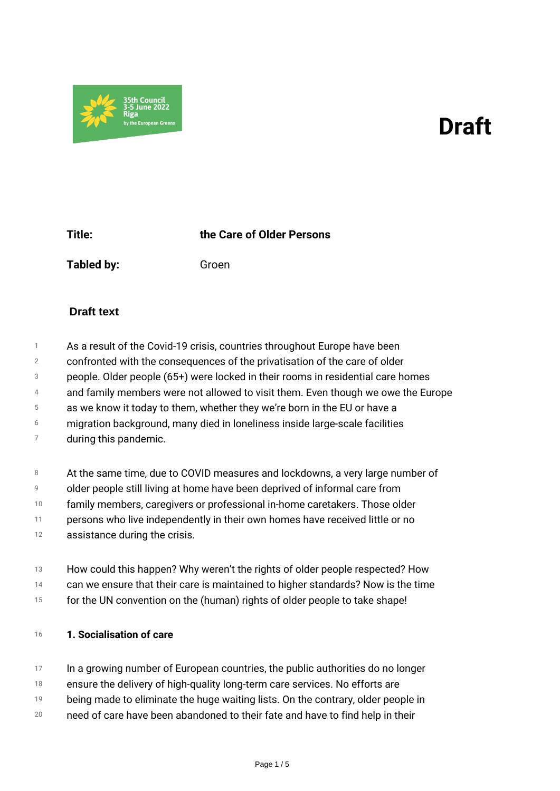# *Draft*



*Title: the Care of Older Persons*

*Tabled by: Groen*

## **Draft text**

- *1 As a result of the Covid-19 crisis, countries throughout Europe have been*
- *2 confronted with the consequences of the privatisation of the care of older*
- *3 people. Older people (65+) were locked in their rooms in residential care homes*
- *4 and family members were not allowed to visit them. Even though we owe the Europe*
- *5 as we know it today to them, whether they we're born in the EU or have a*
- *6 migration background, many died in loneliness inside large-scale facilities*
- *7 during this pandemic.*
- *8 At the same time, due to COVID measures and lockdowns, a very large number of*
- *9 older people still living at home have been deprived of informal care from*
- *10 family members, caregivers or professional in-home caretakers. Those older*
- *11 persons who live independently in their own homes have received little or no*
- *12 assistance during the crisis.*
- *13 How could this happen? Why weren't the rights of older people respected? How*
- *14 can we ensure that their care is maintained to higher standards? Now is the time*
- *15 for the UN convention on the (human) rights of older people to take shape!*

#### *<sup>16</sup> 1. Socialisation of care*

- *17 In a growing number of European countries, the public authorities do no longer*
- *18 ensure the delivery of high-quality long-term care services. No efforts are*
- *19 being made to eliminate the huge waiting lists. On the contrary, older people in*
- *20 need of care have been abandoned to their fate and have to find help in their*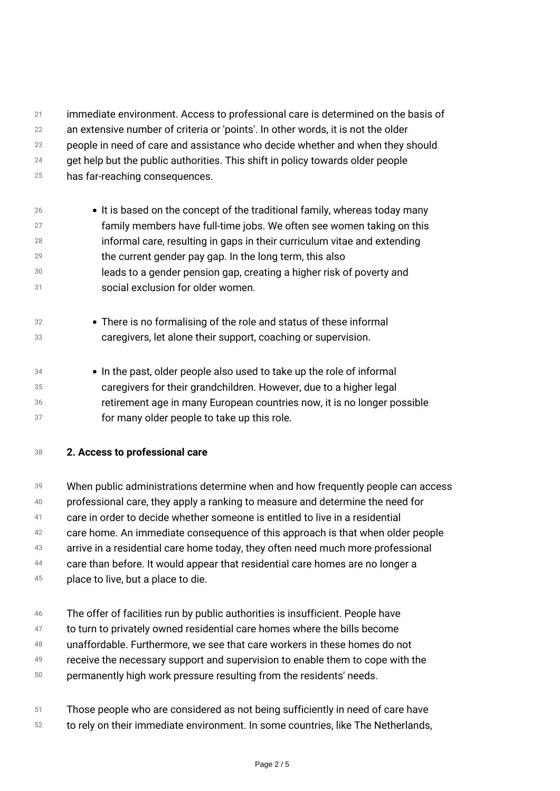*21 22 23 24 25 immediate environment. Access to professional care is determined on the basis of an extensive number of criteria or 'points'. In other words, it is not the older people in need of care and assistance who decide whether and when they should get help but the public authorities. This shift in policy towards older people has far-reaching consequences.*

- *26 27 28 29 30 31 It is based on the concept of the traditional family, whereas today many family members have full-time jobs. We often see women taking on this informal care, resulting in gaps in their curriculum vitae and extending the current gender pay gap. In the long term, this also leads to a gender pension gap, creating a higher risk of poverty and social exclusion for older women.*
- *32 33 There is no formalising of the role and status of these informal caregivers, let alone their support, coaching or supervision.*
- *34 35 36 37 In the past, older people also used to take up the role of informal caregivers for their grandchildren. However, due to a higher legal retirement age in many European countries now, it is no longer possible for many older people to take up this role.*
- *<sup>38</sup> 2. Access to professional care*

*39 40 41 42 43 44 45 When public administrations determine when and how frequently people can access professional care, they apply a ranking to measure and determine the need for care in order to decide whether someone is entitled to live in a residential care home. An immediate consequence of this approach is that when older people arrive in a residential care home today, they often need much more professional care than before. It would appear that residential care homes are no longer a place to live, but a place to die.*

- *46 The offer of facilities run by public authorities is insufficient. People have*
- *47 to turn to privately owned residential care homes where the bills become*
- *48 unaffordable. Furthermore, we see that care workers in these homes do not*
- *49 receive the necessary support and supervision to enable them to cope with the*
- *50 permanently high work pressure resulting from the residents' needs.*
- *51 Those people who are considered as not being sufficiently in need of care have*
- *52 to rely on their immediate environment. In some countries, like The Netherlands,*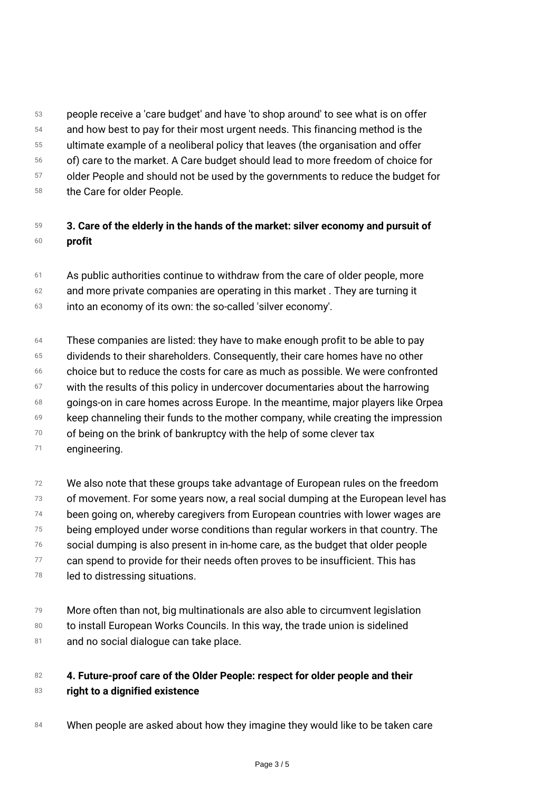- *53 54 55 people receive a 'care budget' and have 'to shop around' to see what is on offer and how best to pay for their most urgent needs. This financing method is the ultimate example of a neoliberal policy that leaves (the organisation and offer*
- *56 of) care to the market. A Care budget should lead to more freedom of choice for*
- *57 older People and should not be used by the governments to reduce the budget for*
- *58 the Care for older People.*
- *59 60 3. Care of the elderly in the hands of the market: silver economy and pursuit of profit*
- *61 As public authorities continue to withdraw from the care of older people, more*
- *62 and more private companies are operating in this market . They are turning it*
- *63 into an economy of its own: the so-called 'silver economy'.*
- *64 These companies are listed: they have to make enough profit to be able to pay*
- *65 dividends to their shareholders. Consequently, their care homes have no other*
- *66 choice but to reduce the costs for care as much as possible. We were confronted*
- *67 with the results of this policy in undercover documentaries about the harrowing*
- *68 goings-on in care homes across Europe. In the meantime, major players like Orpea*
- *69 keep channeling their funds to the mother company, while creating the impression*
- *70 of being on the brink of bankruptcy with the help of some clever tax*
- *71 engineering.*
- *72 73 74 75 76 77 78 We also note that these groups take advantage of European rules on the freedom of movement. For some years now, a real social dumping at the European level has been going on, whereby caregivers from European countries with lower wages are being employed under worse conditions than regular workers in that country. The social dumping is also present in in-home care, as the budget that older people can spend to provide for their needs often proves to be insufficient. This has led to distressing situations.*
- *79 More often than not, big multinationals are also able to circumvent legislation*
- *80 to install European Works Councils. In this way, the trade union is sidelined*
- *81 and no social dialogue can take place.*

#### *82 83 4. Future-proof care of the Older People: respect for older people and their right to a dignified existence*

*<sup>84</sup> When people are asked about how they imagine they would like to be taken care*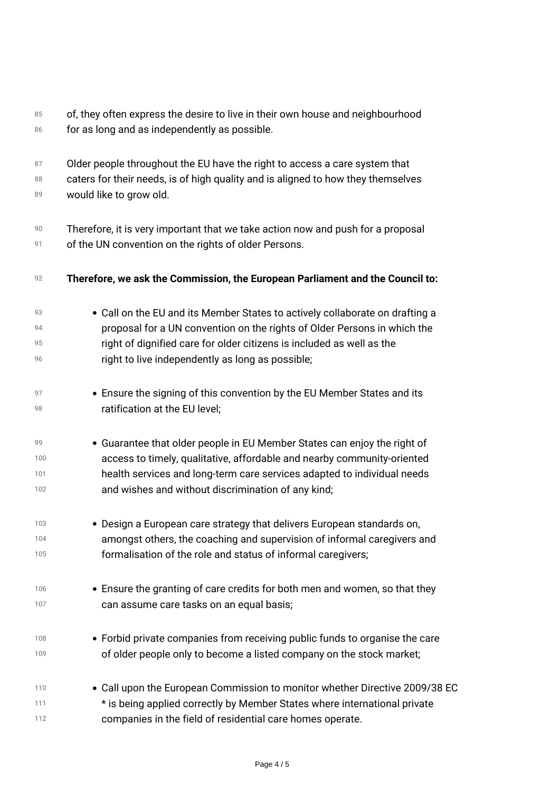| 85<br>86 | of, they often express the desire to live in their own house and neighbourhood<br>for as long and as independently as possible. |
|----------|---------------------------------------------------------------------------------------------------------------------------------|
| 87       | Older people throughout the EU have the right to access a care system that                                                      |
| 88<br>89 | caters for their needs, is of high quality and is aligned to how they themselves<br>would like to grow old.                     |
| 90       | Therefore, it is very important that we take action now and push for a proposal                                                 |
| 91       | of the UN convention on the rights of older Persons.                                                                            |
| 92       | Therefore, we ask the Commission, the European Parliament and the Council to:                                                   |
| 93       | • Call on the EU and its Member States to actively collaborate on drafting a                                                    |
| 94       | proposal for a UN convention on the rights of Older Persons in which the                                                        |
| 95       | right of dignified care for older citizens is included as well as the                                                           |
| 96       | right to live independently as long as possible;                                                                                |
| 97       | • Ensure the signing of this convention by the EU Member States and its                                                         |
| 98       | ratification at the EU level;                                                                                                   |
| 99       | • Guarantee that older people in EU Member States can enjoy the right of                                                        |
| 100      | access to timely, qualitative, affordable and nearby community-oriented                                                         |
| 101      | health services and long-term care services adapted to individual needs                                                         |
| 102      | and wishes and without discrimination of any kind;                                                                              |
| 103      | • Design a European care strategy that delivers European standards on,                                                          |
| 104      | amongst others, the coaching and supervision of informal caregivers and                                                         |
| 105      | formalisation of the role and status of informal caregivers;                                                                    |
| 106      | • Ensure the granting of care credits for both men and women, so that they                                                      |
| 107      | can assume care tasks on an equal basis;                                                                                        |
| 108      | • Forbid private companies from receiving public funds to organise the care                                                     |
| 109      | of older people only to become a listed company on the stock market;                                                            |
| 110      | • Call upon the European Commission to monitor whether Directive 2009/38 EC                                                     |
| 111      | * is being applied correctly by Member States where international private                                                       |
| 112      | companies in the field of residential care homes operate.                                                                       |